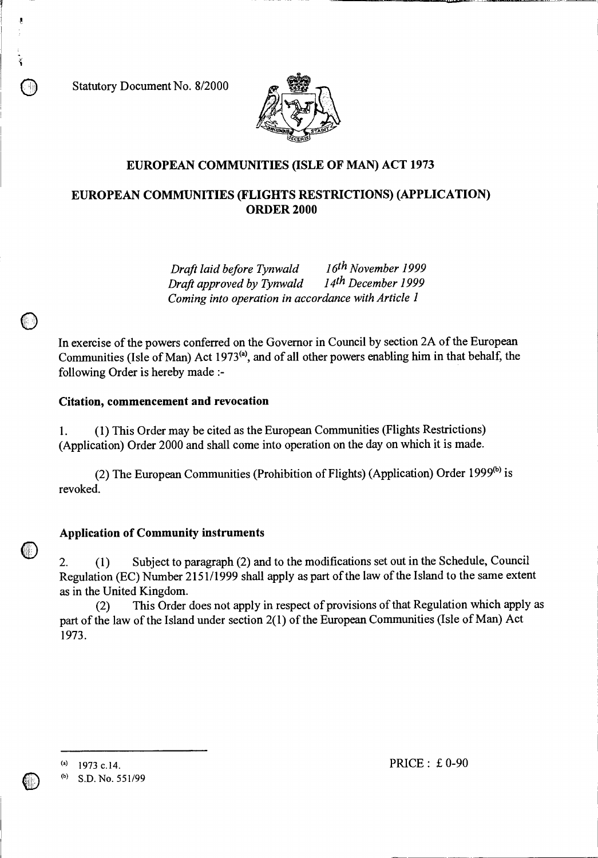Statutory Document No. 8/2000



# **EUROPEAN COMMUNITIES (ISLE OF MAN) ACT 1973**

# **EUROPEAN COMMUNITIES (FLIGHTS RESTRICTIONS) (APPLICATION) ORDER 2000**

*Draft laid before Tynwald 16th November 1999 Draft approved by Tynwald Coming into operation in accordance with Article 1* 

In exercise of the powers conferred on the Governor in Council by section 2A of the European Communities (Isle of Man) Act 1973<sup>(a)</sup>, and of all other powers enabling him in that behalf, the following Order is hereby made :-

#### **Citation, commencement and revocation**

1. (1) This Order may be cited as the European Communities (Flights Restrictions) (Application) Order 2000 and shall come into operation on the day on which it is made.

(2) The European Communities (Prohibition of Flights) (Application) Order 1999 $^{(b)}$  is revoked.

## **Application of Community instruments**

2. (1) Subject to paragraph (2) and to the modifications set out in the Schedule, Council Regulation (EC) Number 2151/1999 shall apply as part of the law of the Island to the same extent as in the United Kingdom.

(2) This Order does not apply in respect of provisions of that Regulation which apply as part of the law of the Island under section 2(1) of the European Communities (Isle of Man) Act 1973.

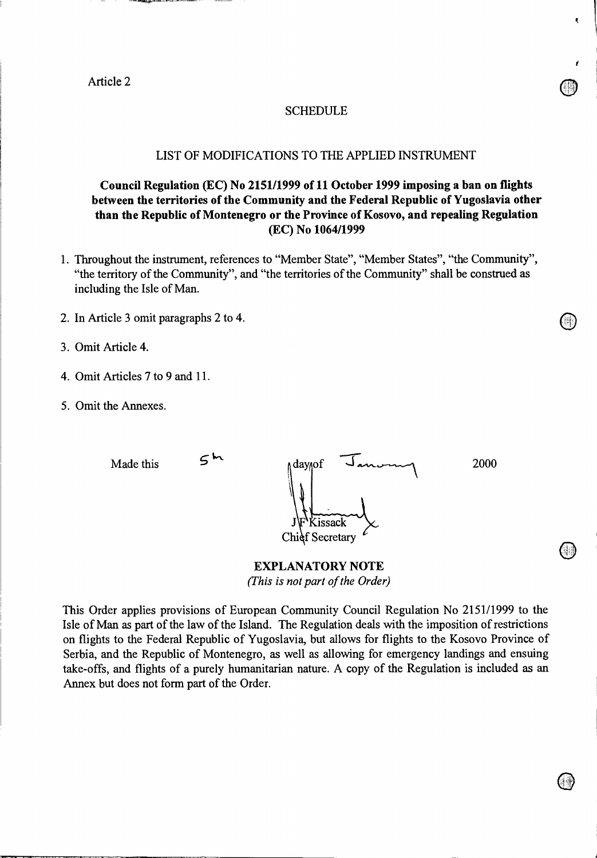Article 2

### SCHEDULE

### LIST OF MODIFICATIONS TO THE APPLIED INSTRUMENT

# **Council Regulation (EC) No 2151/1999 of 11 October 1999 imposing a ban on flights between the territories of the Community and the Federal Republic of Yugoslavia other than the Republic of Montenegro or the Province of Kosovo, and repealing Regulation (EC) No 1064/1999**

- 1. Throughout the instrument, references to "Member State", "Member States", "the Community", "the territory of the Community", and "the territories of the Community" shall be construed as including the Isle of Man.
- 2. In Article 3 omit paragraphs 2 to 4.
- 3. Omit Article 4.
- 4. Omit Articles 7 to 9 and 11.
- 5. Omit the Annexes.

| Made this | ∧day∧of<br>Kissack<br>$\iint_{\mathbf{F}}$ | 2000 |
|-----------|--------------------------------------------|------|
|           | Chief Secretary                            |      |

**EXPLANATORY NOTE** 

*(This is not part of the Order)* 

This Order applies provisions of European Community Council Regulation No 2151/1999 to the Isle of Man as part of the law of the Island. The Regulation deals with the imposition of restrictions on flights to the Federal Republic of Yugoslavia, but allows for flights to the Kosovo Province of Serbia, and the Republic of Montenegro, as well as allowing for emergency landings and ensuing take-offs, and flights of a purely humanitarian nature. A copy of the Regulation is included as an Annex but does not form part of the Order.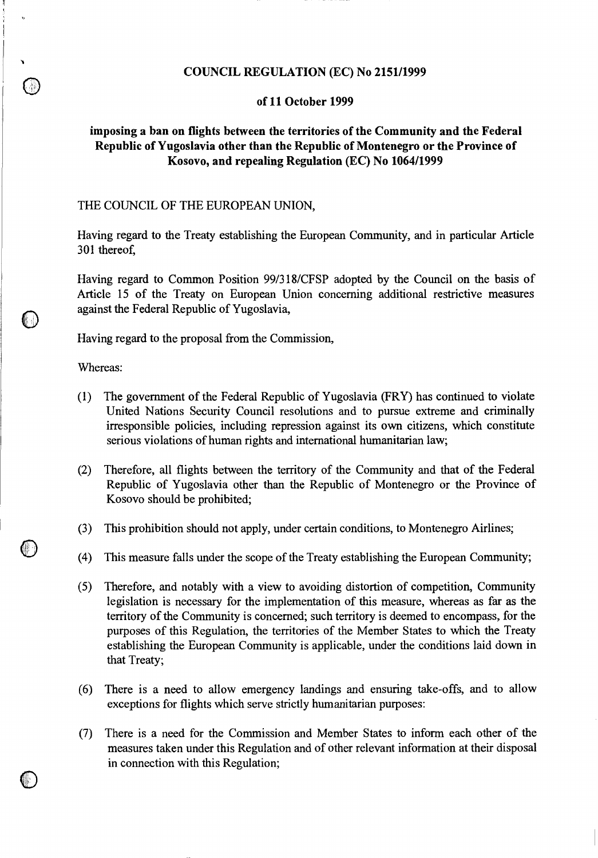### **COUNCIL REGULATION (EC) No 2151/1999**

#### **of 11 October 1999**

# **imposing a ban on flights between the territories of the Community and the Federal Republic of Yugoslavia other than the Republic of Montenegro or the Province of Kosovo, and repealing Regulation (EC) No 1064/1999**

### THE COUNCIL OF THE EUROPEAN UNION,

Having regard to the Treaty establishing the European Community, and in particular Article 301 thereof,

Having regard to Common Position 99/318/CFSP adopted by the Council on the basis of Article 15 of the Treaty on European Union concerning additional restrictive measures against the Federal Republic of Yugoslavia,

Having regard to the proposal from the Commission,

Whereas:

 $\mathbf{r}_2$ 

 $\cup$ 

- (1) The government of the Federal Republic of Yugoslavia (FRY) has continued to violate United Nations Security Council resolutions and to pursue extreme and criminally irresponsible policies, including repression against its own citizens, which constitute serious violations of human rights and international humanitarian law;
- (2) Therefore, all flights between the territory of the Community and that of the Federal Republic of Yugoslavia other than the Republic of Montenegro or the Province of Kosovo should be prohibited;
- (3) This prohibition should not apply, under certain conditions, to Montenegro Airlines;
- (4) This measure falls under the scope of the Treaty establishing the European Community;
- (5) Therefore, and notably with a view to avoiding distortion of competition, Community legislation is necessary for the implementation of this measure, whereas as far as the territory of the Community is concerned; such territory is deemed to encompass, for the purposes of this Regulation, the territories of the Member States to which the Treaty establishing the European Community is applicable, under the conditions laid down in that Treaty;
- (6) There is a need to allow emergency landings and ensuring take-offs, and to allow exceptions for flights which serve strictly humanitarian purposes:
- (7) There is a need for the Commission and Member States to inform each other of the measures taken under this Regulation and of other relevant information at their disposal in connection with this Regulation;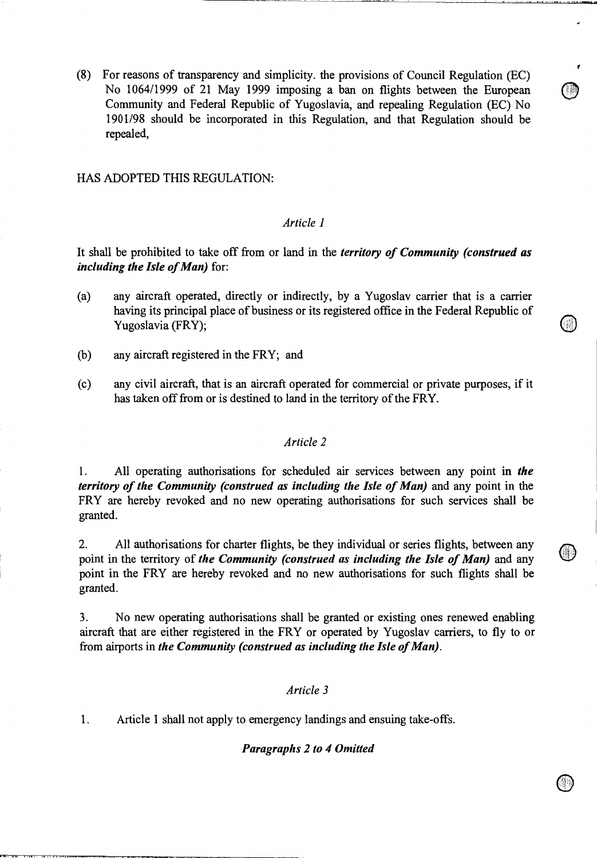(8) For reasons of transparency and simplicity. the provisions of Council Regulation (EC) No 1064/1999 of 21 May 1999 imposing a ban on flights between the European Community and Federal Republic of Yugoslavia, and repealing Regulation (EC) No 1901/98 should be incorporated in this Regulation, and that Regulation should be repealed,

HAS ADOPTED THIS REGULATION:

### *Article 1*

It shall be prohibited to take off from or land in the *territory of Community (construed as including the Isle of Man)* for:

- (a) any aircraft operated, directly or indirectly, by a Yugoslav carrier that is a carrier having its principal place of business or its registered office in the Federal Republic of Yugoslavia (FRY);
- (b) any aircraft registered in the FRY; and
- (c) any civil aircraft, that is an aircraft operated for commercial or private purposes, if it has taken off from or is destined to land in the territory of the FRY.

### *Article 2*

1. All operating authorisations for scheduled air services between any point in *the territory of the Community (construed as including the Isle of Man)* and any point in the FRY are hereby revoked and no new operating authorisations for such services shall be granted.

2. All authorisations for charter flights, be they individual or series flights, between any point in the territory of *the Community (construed as including the Isle of Man)* and any point in the FRY are hereby revoked and no new authorisations for such flights shall be granted.

3. No new operating authorisations shall be granted or existing ones renewed enabling aircraft that are either registered in the FRY or operated by Yugoslav carriers, to fly to or from airports in *the Community (construed as including the Isle of Man).* 

### *Article 3*

*1.* Article 1 shall not apply to emergency landings and ensuing take -offs.

#### *Paragraphs 2 to 4 Omitted*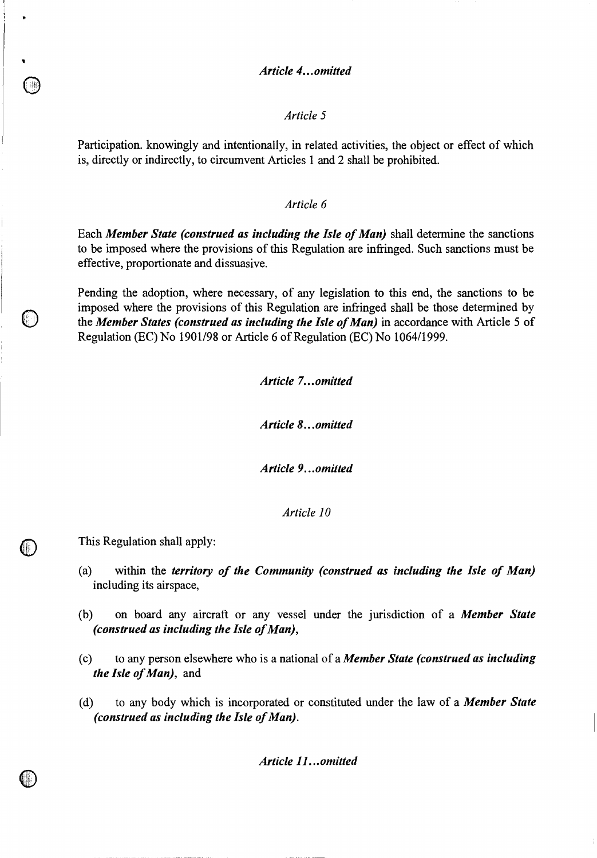### *Article 4... omitted*

### *Article 5*

Participation. knowingly and intentionally, in related activities, the object or effect of which is, directly or indirectly, to circumvent Articles 1 and 2 shall be prohibited.

### *Article 6*

Each *Member State (construed as including the Isle of Man)* shall determine the sanctions to be imposed where the provisions of this Regulation are infringed. Such sanctions must be effective, proportionate and dissuasive.

Pending the adoption, where necessary, of any legislation to this end, the sanctions to be imposed where the provisions of this Regulation are infringed shall be those determined by the *Member States (construed as including the Isle of Man)* in accordance with Article 5 of Regulation (EC) No 1901/98 or Article 6 of Regulation (EC) No 1064/1999.

*Article 7... omitted* 

*Article 8... omitted* 

*Article 9...omitted* 

*Article 10* 

This Regulation shall apply:

 $\bigcirc$ 

 $\bigcirc$ 

- (a) within the *territory of the Community (construed as including the Isle of Man)*  including its airspace,
- (b) on board any aircraft or any vessel under the jurisdiction of a *Member State (construed as including the Isle of Man),*
- (c) to any person elsewhere who is a national of a *Member State (construed as including the Isle of Man),* and
- (d) to any body which is incorporated or constituted under the law of a *Member State (construed as including the Isle of Man).*

*Article 11...omitted*